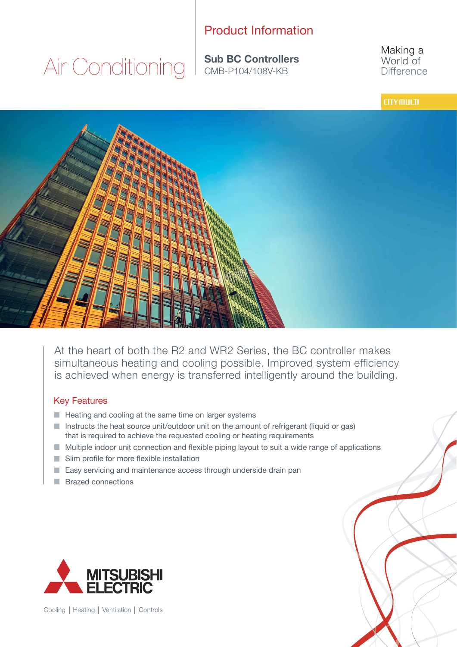## Product Information

Air Conditioning

**Sub BC Controllers**

Making a World of **Difference** 

### **CITY MULTI**



At the heart of both the R2 and WR2 Series, the BC controller makes simultaneous heating and cooling possible. Improved system efficiency is achieved when energy is transferred intelligently around the building.

#### Key Features

- $\blacksquare$  Heating and cooling at the same time on larger systems
- $\blacksquare$  Instructs the heat source unit/outdoor unit on the amount of refrigerant (liquid or gas) that is required to achieve the requested cooling or heating requirements
- $\blacksquare$  Multiple indoor unit connection and flexible piping layout to suit a wide range of applications
- Slim profile for more flexible installation
- $\blacksquare$  Easy servicing and maintenance access through underside drain pan
- **Brazed connections**



Cooling | Heating | Ventilation | Controls